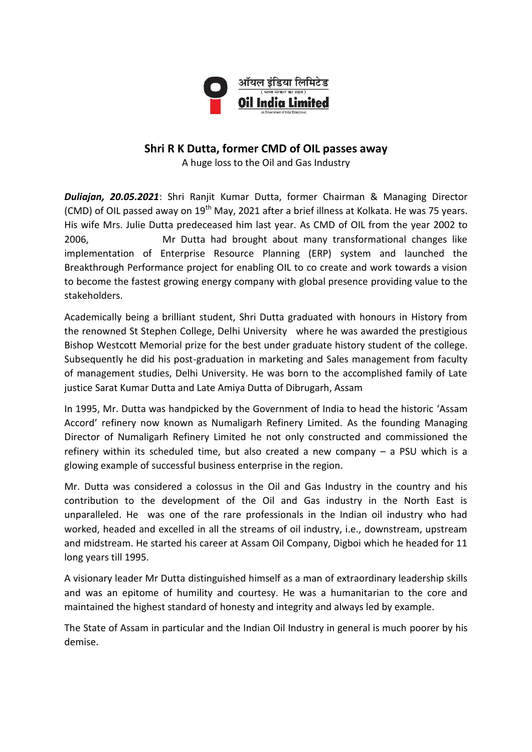

## **Shri R K Dutta, former CMD of OIL passes away**

A huge loss to the Oil and Gas Industry

*Duliajan, 20.05.2021*: Shri Ranjit Kumar Dutta, former Chairman & Managing Director (CMD) of OIL passed away on  $19<sup>th</sup>$  May, 2021 after a brief illness at Kolkata. He was 75 years. His wife Mrs. Julie Dutta predeceased him last year. As CMD of OIL from the year 2002 to 2006, Mr Dutta had brought about many transformational changes like implementation of Enterprise Resource Planning (ERP) system and launched the Breakthrough Performance project for enabling OIL to co create and work towards a vision to become the fastest growing energy company with global presence providing value to the stakeholders.

Academically being a brilliant student, Shri Dutta graduated with honours in History from the renowned St Stephen College, Delhi University where he was awarded the prestigious Bishop Westcott Memorial prize for the best under graduate history student of the college. Subsequently he did his post-graduation in marketing and Sales management from faculty of management studies, Delhi University. He was born to the accomplished family of Late justice Sarat Kumar Dutta and Late Amiya Dutta of Dibrugarh, Assam

In 1995, Mr. Dutta was handpicked by the Government of India to head the historic 'Assam Accord' refinery now known as Numaligarh Refinery Limited. As the founding Managing Director of Numaligarh Refinery Limited he not only constructed and commissioned the refinery within its scheduled time, but also created a new company – a PSU which is a glowing example of successful business enterprise in the region.

Mr. Dutta was considered a colossus in the Oil and Gas Industry in the country and his contribution to the development of the Oil and Gas industry in the North East is unparalleled. He was one of the rare professionals in the Indian oil industry who had worked, headed and excelled in all the streams of oil industry, i.e., downstream, upstream and midstream. He started his career at Assam Oil Company, Digboi which he headed for 11 long years till 1995.

A visionary leader Mr Dutta distinguished himself as a man of extraordinary leadership skills and was an epitome of humility and courtesy. He was a humanitarian to the core and maintained the highest standard of honesty and integrity and always led by example.

The State of Assam in particular and the Indian Oil Industry in general is much poorer by his demise.